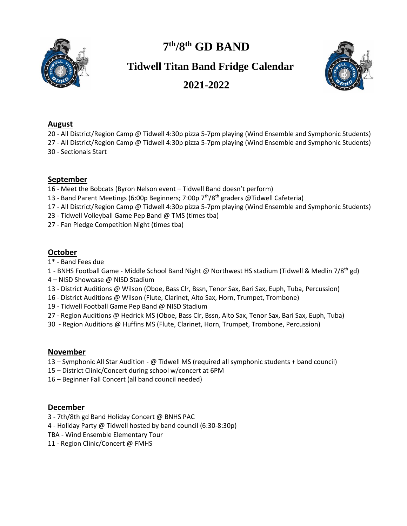

# **7 th/8th GD BAND**

## **Tidwell Titan Band Fridge Calendar**



## **2021-2022**

#### **August**

20 - All District/Region Camp @ Tidwell 4:30p pizza 5-7pm playing (Wind Ensemble and Symphonic Students)

27 - All District/Region Camp @ Tidwell 4:30p pizza 5-7pm playing (Wind Ensemble and Symphonic Students) 30 - Sectionals Start

#### **September**

- 16 Meet the Bobcats (Byron Nelson event Tidwell Band doesn't perform)
- 13 Band Parent Meetings (6:00p Beginners; 7:00p  $7<sup>th</sup>/8<sup>th</sup>$  graders @Tidwell Cafeteria)
- 17 All District/Region Camp @ Tidwell 4:30p pizza 5-7pm playing (Wind Ensemble and Symphonic Students)
- 23 Tidwell Volleyball Game Pep Band @ TMS (times tba)
- 27 Fan Pledge Competition Night (times tba)

#### **October**

- 1\* Band Fees due
- 1 BNHS Football Game Middle School Band Night @ Northwest HS stadium (Tidwell & Medlin 7/8<sup>th</sup> gd)
- 4 NISD Showcase @ NISD Stadium
- 13 District Auditions @ Wilson (Oboe, Bass Clr, Bssn, Tenor Sax, Bari Sax, Euph, Tuba, Percussion)
- 16 District Auditions @ Wilson (Flute, Clarinet, Alto Sax, Horn, Trumpet, Trombone)
- 19 Tidwell Football Game Pep Band @ NISD Stadium
- 27 Region Auditions @ Hedrick MS (Oboe, Bass Clr, Bssn, Alto Sax, Tenor Sax, Bari Sax, Euph, Tuba)
- 30 Region Auditions @ Huffins MS (Flute, Clarinet, Horn, Trumpet, Trombone, Percussion)

#### **November**

- 13 Symphonic All Star Audition @ Tidwell MS (required all symphonic students + band council)
- 15 District Clinic/Concert during school w/concert at 6PM
- 16 Beginner Fall Concert (all band council needed)

#### **December**

- 3 7th/8th gd Band Holiday Concert @ BNHS PAC
- 4 Holiday Party @ Tidwell hosted by band council (6:30-8:30p)
- TBA Wind Ensemble Elementary Tour
- 11 Region Clinic/Concert @ FMHS